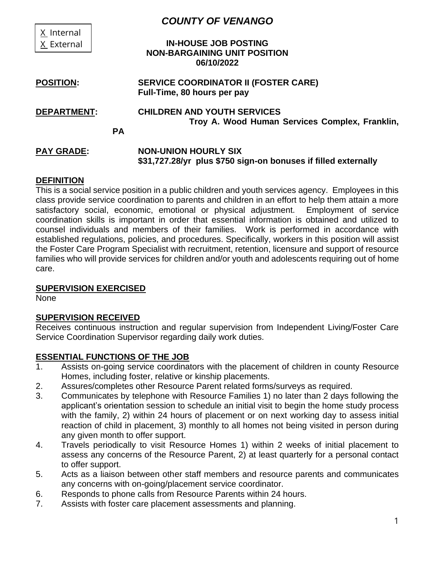|                    |           | <b>COUNTY OF VENANGO</b>                                       |
|--------------------|-----------|----------------------------------------------------------------|
| X Internal         |           |                                                                |
| X External         |           | <b>IN-HOUSE JOB POSTING</b>                                    |
|                    |           | <b>NON-BARGAINING UNIT POSITION</b>                            |
|                    |           | 06/10/2022                                                     |
| <b>POSITION:</b>   |           | <b>SERVICE COORDINATOR II (FOSTER CARE)</b>                    |
|                    |           | Full-Time, 80 hours per pay                                    |
| <b>DEPARTMENT:</b> |           | <b>CHILDREN AND YOUTH SERVICES</b>                             |
|                    |           | Troy A. Wood Human Services Complex, Franklin,                 |
|                    | <b>PA</b> |                                                                |
| <b>PAY GRADE:</b>  |           | <b>NON-UNION HOURLY SIX</b>                                    |
|                    |           | \$31,727.28/yr plus \$750 sign-on bonuses if filled externally |
|                    |           |                                                                |

### **DEFINITION**

This is a social service position in a public children and youth services agency. Employees in this class provide service coordination to parents and children in an effort to help them attain a more satisfactory social, economic, emotional or physical adjustment. Employment of service coordination skills is important in order that essential information is obtained and utilized to counsel individuals and members of their families. Work is performed in accordance with established regulations, policies, and procedures. Specifically, workers in this position will assist the Foster Care Program Specialist with recruitment, retention, licensure and support of resource families who will provide services for children and/or youth and adolescents requiring out of home care.

### **SUPERVISION EXERCISED**

None

### **SUPERVISION RECEIVED**

Receives continuous instruction and regular supervision from Independent Living/Foster Care Service Coordination Supervisor regarding daily work duties.

### **ESSENTIAL FUNCTIONS OF THE JOB**

- 1. Assists on-going service coordinators with the placement of children in county Resource Homes, including foster, relative or kinship placements.
- 2. Assures/completes other Resource Parent related forms/surveys as required.
- 3. Communicates by telephone with Resource Families 1) no later than 2 days following the applicant's orientation session to schedule an initial visit to begin the home study process with the family, 2) within 24 hours of placement or on next working day to assess initial reaction of child in placement, 3) monthly to all homes not being visited in person during any given month to offer support.
- 4. Travels periodically to visit Resource Homes 1) within 2 weeks of initial placement to assess any concerns of the Resource Parent, 2) at least quarterly for a personal contact to offer support.
- 5. Acts as a liaison between other staff members and resource parents and communicates any concerns with on-going/placement service coordinator.
- 6. Responds to phone calls from Resource Parents within 24 hours.
- 7. Assists with foster care placement assessments and planning.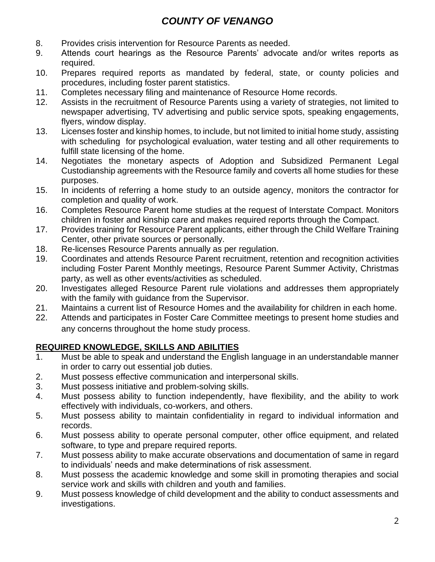## *COUNTY OF VENANGO*

- 8. Provides crisis intervention for Resource Parents as needed.
- 9. Attends court hearings as the Resource Parents' advocate and/or writes reports as required.
- 10. Prepares required reports as mandated by federal, state, or county policies and procedures, including foster parent statistics.
- 11. Completes necessary filing and maintenance of Resource Home records.
- 12. Assists in the recruitment of Resource Parents using a variety of strategies, not limited to newspaper advertising, TV advertising and public service spots, speaking engagements, flyers, window display.
- 13. Licenses foster and kinship homes, to include, but not limited to initial home study, assisting with scheduling for psychological evaluation, water testing and all other requirements to fulfill state licensing of the home.
- 14. Negotiates the monetary aspects of Adoption and Subsidized Permanent Legal Custodianship agreements with the Resource family and coverts all home studies for these purposes.
- 15. In incidents of referring a home study to an outside agency, monitors the contractor for completion and quality of work.
- 16. Completes Resource Parent home studies at the request of Interstate Compact. Monitors children in foster and kinship care and makes required reports through the Compact.
- 17. Provides training for Resource Parent applicants, either through the Child Welfare Training Center, other private sources or personally.
- 18. Re-licenses Resource Parents annually as per regulation.
- 19. Coordinates and attends Resource Parent recruitment, retention and recognition activities including Foster Parent Monthly meetings, Resource Parent Summer Activity, Christmas party, as well as other events/activities as scheduled.
- 20. Investigates alleged Resource Parent rule violations and addresses them appropriately with the family with guidance from the Supervisor.
- 21. Maintains a current list of Resource Homes and the availability for children in each home.
- 22. Attends and participates in Foster Care Committee meetings to present home studies and any concerns throughout the home study process.

### **REQUIRED KNOWLEDGE, SKILLS AND ABILITIES**

- 1. Must be able to speak and understand the English language in an understandable manner in order to carry out essential job duties.
- 2. Must possess effective communication and interpersonal skills.
- 3. Must possess initiative and problem-solving skills.
- 4. Must possess ability to function independently, have flexibility, and the ability to work effectively with individuals, co-workers, and others.
- 5. Must possess ability to maintain confidentiality in regard to individual information and records.
- 6. Must possess ability to operate personal computer, other office equipment, and related software, to type and prepare required reports.
- 7. Must possess ability to make accurate observations and documentation of same in regard to individuals' needs and make determinations of risk assessment.
- 8. Must possess the academic knowledge and some skill in promoting therapies and social service work and skills with children and youth and families.
- 9. Must possess knowledge of child development and the ability to conduct assessments and investigations.